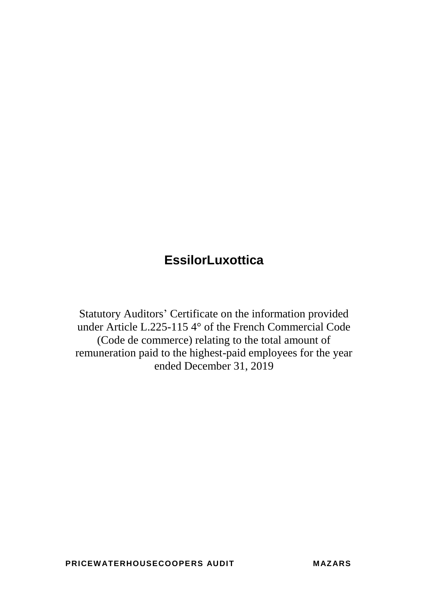Statutory Auditors' Certificate on the information provided under Article L.225-115 4° of the French Commercial Code (Code de commerce) relating to the total amount of remuneration paid to the highest-paid employees for the year ended December 31, 2019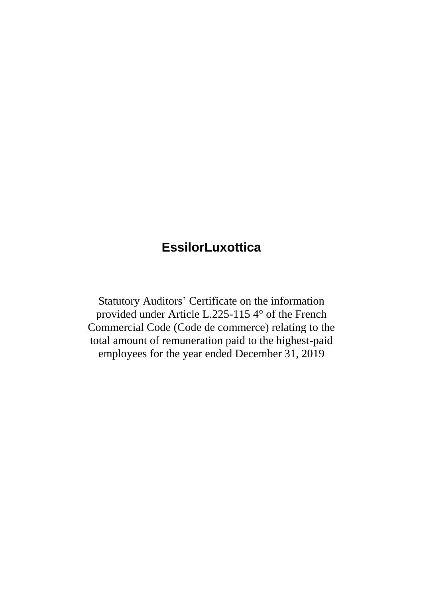Statutory Auditors' Certificate on the information provided under Article L.225-115 4° of the French Commercial Code (Code de commerce) relating to the total amount of remuneration paid to the highest-paid employees for the year ended December 31, 2019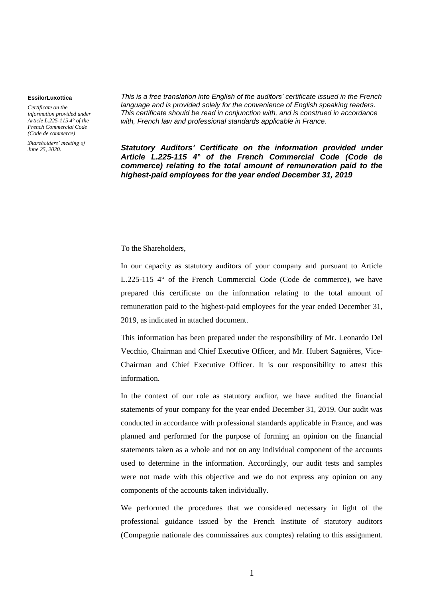*Certificate on the information provided under Article L.225-115 4° of the French Commercial Code (Code de commerce)*

*Shareholders' meeting of June 25, 2020.*

*This is a free translation into English of the auditors' certificate issued in the French language and is provided solely for the convenience of English speaking readers. This certificate should be read in conjunction with, and is construed in accordance with, French law and professional standards applicable in France.*

*Statutory Auditors' Certificate on the information provided under Article L.225-115 4° of the French Commercial Code (Code de commerce) relating to the total amount of remuneration paid to the highest-paid employees for the year ended December 31, 2019*

To the Shareholders,

In our capacity as statutory auditors of your company and pursuant to Article L.225-115 4° of the French Commercial Code (Code de commerce), we have prepared this certificate on the information relating to the total amount of remuneration paid to the highest-paid employees for the year ended December 31, 2019, as indicated in attached document.

This information has been prepared under the responsibility of Mr. Leonardo Del Vecchio, Chairman and Chief Executive Officer, and Mr. Hubert Sagnières, Vice-Chairman and Chief Executive Officer. It is our responsibility to attest this information.

In the context of our role as statutory auditor, we have audited the financial statements of your company for the year ended December 31, 2019. Our audit was conducted in accordance with professional standards applicable in France, and was planned and performed for the purpose of forming an opinion on the financial statements taken as a whole and not on any individual component of the accounts used to determine in the information. Accordingly, our audit tests and samples were not made with this objective and we do not express any opinion on any components of the accounts taken individually.

We performed the procedures that we considered necessary in light of the professional guidance issued by the French Institute of statutory auditors (Compagnie nationale des commissaires aux comptes) relating to this assignment.